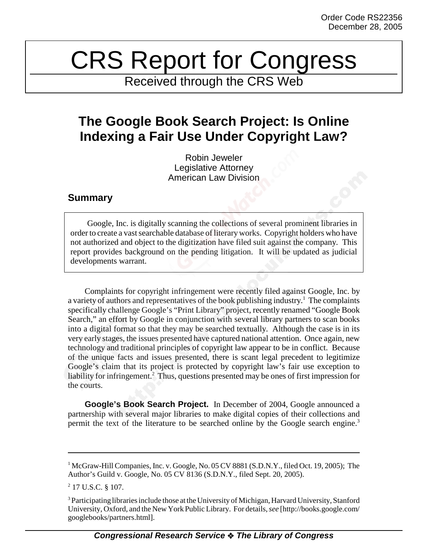## CRS Report for Congress

Received through the CRS Web

## **The Google Book Search Project: Is Online Indexing a Fair Use Under Copyright Law?**

Robin Jeweler Legislative Attorney American Law Division

## **Summary**

Google, Inc. is digitally scanning the collections of several prominent libraries in order to create a vast searchable database of literary works. Copyright holders who have not authorized and object to the digitization have filed suit against the company. This report provides background on the pending litigation. It will be updated as judicial developments warrant.

Complaints for copyright infringement were recently filed against Google, Inc. by a variety of authors and representatives of the book publishing industry.<sup>1</sup> The complaints specifically challenge Google's "Print Library" project, recently renamed "Google Book Search," an effort by Google in conjunction with several library partners to scan books into a digital format so that they may be searched textually. Although the case is in its very early stages, the issues presented have captured national attention. Once again, new technology and traditional principles of copyright law appear to be in conflict. Because of the unique facts and issues presented, there is scant legal precedent to legitimize Google's claim that its project is protected by copyright law's fair use exception to liability for infringement.<sup>2</sup> Thus, questions presented may be ones of first impression for the courts.

**Google's Book Search Project.** In December of 2004, Google announced a partnership with several major libraries to make digital copies of their collections and permit the text of the literature to be searched online by the Google search engine.<sup>3</sup>

<sup>&</sup>lt;sup>1</sup> McGraw-Hill Companies, Inc. v. Google, No. 05 CV 8881 (S.D.N.Y., filed Oct. 19, 2005); The Author's Guild v. Google, No. 05 CV 8136 (S.D.N.Y., filed Sept. 20, 2005).

<sup>2</sup> 17 U.S.C. § 107.

 $3$  Participating libraries include those at the University of Michigan, Harvard University, Stanford University, Oxford, and the New York Public Library. For details, *see* [http://books.google.com/ googlebooks/partners.html].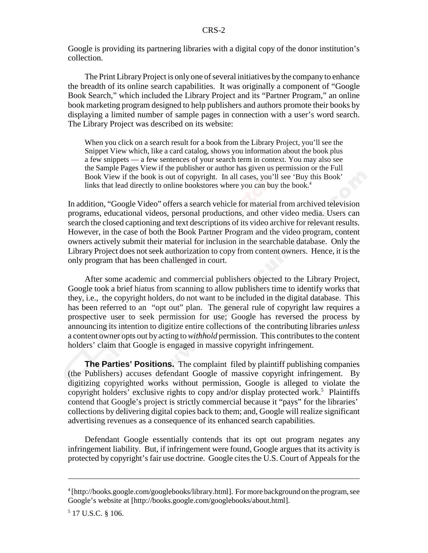Google is providing its partnering libraries with a digital copy of the donor institution's collection.

The Print Library Project is only one of several initiatives by the company to enhance the breadth of its online search capabilities. It was originally a component of "Google Book Search," which included the Library Project and its "Partner Program," an online book marketing program designed to help publishers and authors promote their books by displaying a limited number of sample pages in connection with a user's word search. The Library Project was described on its website:

When you click on a search result for a book from the Library Project, you'll see the Snippet View which, like a card catalog, shows you information about the book plus a few snippets — a few sentences of your search term in context. You may also see the Sample Pages View if the publisher or author has given us permission or the Full Book View if the book is out of copyright. In all cases, you'll see 'Buy this Book' links that lead directly to online bookstores where you can buy the book.<sup>4</sup>

In addition, "Google Video" offers a search vehicle for material from archived television programs, educational videos, personal productions, and other video media. Users can search the closed captioning and text descriptions of its video archive for relevant results. However, in the case of both the Book Partner Program and the video program, content owners actively submit their material for inclusion in the searchable database. Only the Library Project does not seek authorization to copy from content owners. Hence, it is the only program that has been challenged in court.

After some academic and commercial publishers objected to the Library Project, Google took a brief hiatus from scanning to allow publishers time to identify works that they, i.e., the copyright holders, do not want to be included in the digital database. This has been referred to an "opt out" plan. The general rule of copyright law requires a prospective user to seek permission for use; Google has reversed the process by announcing its intention to digitize entire collections of the contributing libraries *unless* a content owner opts out by acting to *withhold* permission. This contributes to the content holders' claim that Google is engaged in massive copyright infringement.

**The Parties' Positions.** The complaint filed by plaintiff publishing companies (the Publishers) accuses defendant Google of massive copyright infringement. By digitizing copyrighted works without permission, Google is alleged to violate the copyright holders' exclusive rights to copy and/or display protected work.<sup>5</sup> Plaintiffs contend that Google's project is strictly commercial because it "pays" for the libraries' collections by delivering digital copies back to them; and, Google will realize significant advertising revenues as a consequence of its enhanced search capabilities.

Defendant Google essentially contends that its opt out program negates any infringement liability. But, if infringement were found, Google argues that its activity is protected by copyright's fair use doctrine. Google cites the U.S. Court of Appeals for the

<sup>&</sup>lt;sup>4</sup> [http://books.google.com/googlebooks/library.html]. For more background on the program, see Google's website at [http://books.google.com/googlebooks/about.html].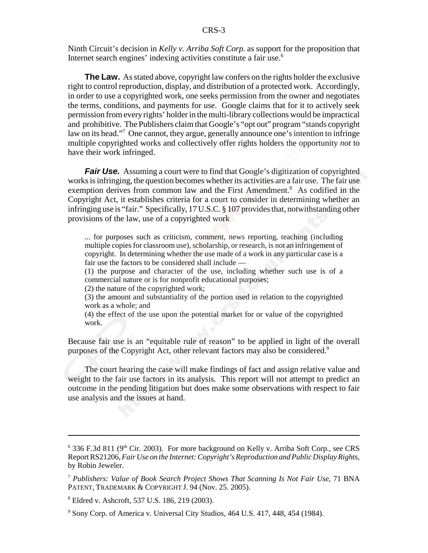Ninth Circuit's decision in *Kelly v. Arriba Soft Corp.* as support for the proposition that Internet search engines' indexing activities constitute a fair use.6

**The Law.** As stated above, copyright law confers on the rights holder the exclusive right to control reproduction, display, and distribution of a protected work. Accordingly, in order to use a copyrighted work, one seeks permission from the owner and negotiates the terms, conditions, and payments for use. Google claims that for it to actively seek permission from every rights' holder in the multi-library collections would be impractical and prohibitive. The Publishers claim that Google's "opt out" program "stands copyright law on its head."<sup>7</sup> One cannot, they argue, generally announce one's intention to infringe multiple copyrighted works and collectively offer rights holders the opportunity *not* to have their work infringed.

*Fair Use.* Assuming a court were to find that Google's digitization of copyrighted works is infringing, the question becomes whether its activities are a fair use. The fair use exemption derives from common law and the First Amendment.<sup>8</sup> As codified in the Copyright Act, it establishes criteria for a court to consider in determining whether an infringing use is "fair." Specifically, 17 U.S.C. § 107 provides that, notwithstanding other provisions of the law, use of a copyrighted work

... for purposes such as criticism, comment, news reporting, teaching (including multiple copies for classroom use), scholarship, or research, is not an infringement of copyright. In determining whether the use made of a work in any particular case is a fair use the factors to be considered shall include —

(1) the purpose and character of the use, including whether such use is of a commercial nature or is for nonprofit educational purposes;

(2) the nature of the copyrighted work;

(3) the amount and substantiality of the portion used in relation to the copyrighted work as a whole; and

(4) the effect of the use upon the potential market for or value of the copyrighted work.

Because fair use is an "equitable rule of reason" to be applied in light of the overall purposes of the Copyright Act, other relevant factors may also be considered.9

The court hearing the case will make findings of fact and assign relative value and weight to the fair use factors in its analysis. This report will not attempt to predict an outcome in the pending litigation but does make some observations with respect to fair use analysis and the issues at hand.

<sup>&</sup>lt;sup>6</sup> 336 F.3d 811 (9<sup>th</sup> Cir. 2003). For more background on Kelly v. Arriba Soft Corp., see CRS Report RS21206, *Fair Use on the Internet: Copyright's Reproduction and Public Display Rights,* by Robin Jeweler.

<sup>7</sup> *Publishers: Value of Book Search Project Shows That Scanning Is Not Fair Use,* 71 BNA PATENT, TRADEMARK & COPYRIGHT J. 94 (Nov. 25. 2005).

<sup>8</sup> Eldred v. Ashcroft, 537 U.S. 186, 219 (2003).

<sup>&</sup>lt;sup>9</sup> Sony Corp. of America v. Universal City Studios, 464 U.S. 417, 448, 454 (1984).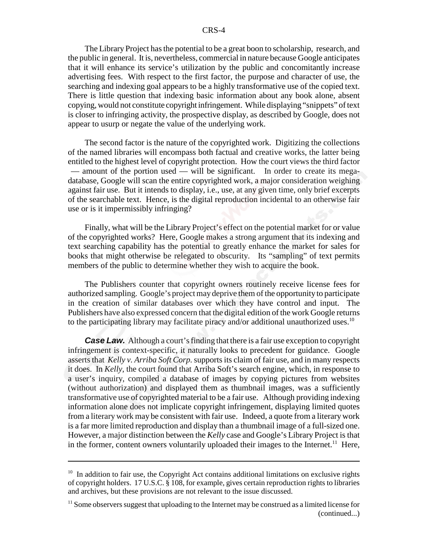The Library Project has the potential to be a great boon to scholarship, research, and the public in general. It is, nevertheless, commercial in nature because Google anticipates that it will enhance its service's utilization by the public and concomitantly increase advertising fees. With respect to the first factor, the purpose and character of use, the searching and indexing goal appears to be a highly transformative use of the copied text. There is little question that indexing basic information about any book alone, absent copying, would not constitute copyright infringement. While displaying "snippets" of text is closer to infringing activity, the prospective display, as described by Google, does not appear to usurp or negate the value of the underlying work.

The second factor is the nature of the copyrighted work. Digitizing the collections of the named libraries will encompass both factual and creative works, the latter being entitled to the highest level of copyright protection. How the court views the third factor — amount of the portion used — will be significant. In order to create its megadatabase, Google will scan the entire copyrighted work, a major consideration weighing against fair use. But it intends to display, i.e., use, at any given time, only brief excerpts of the searchable text. Hence, is the digital reproduction incidental to an otherwise fair use or is it impermissibly infringing?

Finally, what will be the Library Project's effect on the potential market for or value of the copyrighted works? Here, Google makes a strong argument that its indexing and text searching capability has the potential to greatly enhance the market for sales for books that might otherwise be relegated to obscurity. Its "sampling" of text permits members of the public to determine whether they wish to acquire the book.

The Publishers counter that copyright owners routinely receive license fees for authorized sampling. Google's project may deprive them of the opportunity to participate in the creation of similar databases over which they have control and input. The Publishers have also expressed concern that the digital edition of the work Google returns to the participating library may facilitate piracy and/or additional unauthorized uses.<sup>10</sup>

*Case Law.* Although a court's finding that there is a fair use exception to copyright infringement is context-specific, it naturally looks to precedent for guidance. Google asserts that *Kelly v. Arriba Soft Corp.* supports its claim of fair use, and in many respects it does. In *Kelly*, the court found that Arriba Soft's search engine, which, in response to a user's inquiry, compiled a database of images by copying pictures from websites (without authorization) and displayed them as thumbnail images, was a sufficiently transformative use of copyrighted material to be a fair use. Although providing indexing information alone does not implicate copyright infringement, displaying limited quotes from a literary work may be consistent with fair use. Indeed, a quote from a literary work is a far more limited reproduction and display than a thumbnail image of a full-sized one. However, a major distinction between the *Kelly* case and Google's Library Project is that in the former, content owners voluntarily uploaded their images to the Internet.<sup>11</sup> Here,

 $10$  In addition to fair use, the Copyright Act contains additional limitations on exclusive rights of copyright holders. 17 U.S.C. § 108, for example, gives certain reproduction rights to libraries and archives, but these provisions are not relevant to the issue discussed.

<sup>&</sup>lt;sup>11</sup> Some observers suggest that uploading to the Internet may be construed as a limited license for (continued...)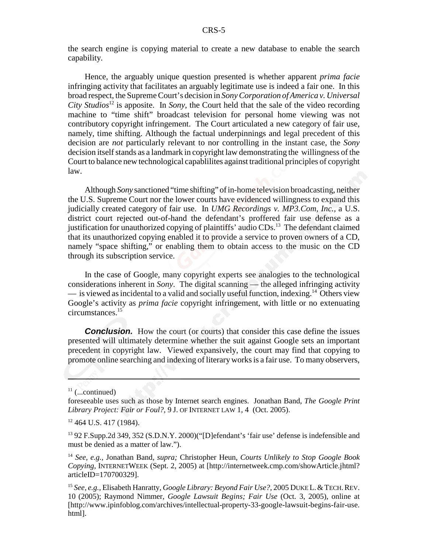the search engine is copying material to create a new database to enable the search capability.

Hence, the arguably unique question presented is whether apparent *prima facie* infringing activity that facilitates an arguably legitimate use is indeed a fair one. In this broad respect, the Supreme Court's decision in *Sony Corporation of America v. Universal City Studios*12 is apposite. In *Sony*, the Court held that the sale of the video recording machine to "time shift" broadcast television for personal home viewing was not contributory copyright infringement. The Court articulated a new category of fair use, namely, time shifting. Although the factual underpinnings and legal precedent of this decision are *not* particularly relevant to nor controlling in the instant case, the *Sony* decision itself stands as a landmark in copyright law demonstrating the willingness of the Court to balance new technological capablilites against traditional principles of copyright law.

Although *Sony* sanctioned "time shifting" of in-home television broadcasting, neither the U.S. Supreme Court nor the lower courts have evidenced willingness to expand this judicially created category of fair use. In *UMG Recordings v. MP3.Com, Inc.,* a U.S. district court rejected out-of-hand the defendant's proffered fair use defense as a justification for unauthorized copying of plaintiffs' audio CDs.<sup>13</sup> The defendant claimed that its unauthorized copying enabled it to provide a service to proven owners of a CD, namely "space shifting," or enabling them to obtain access to the music on the CD through its subscription service.

In the case of Google, many copyright experts see analogies to the technological considerations inherent in *Sony*. The digital scanning — the alleged infringing activity — is viewed as incidental to a valid and socially useful function, indexing.<sup>14</sup> Others view Google's activity as *prima facie* copyright infringement, with little or no extenuating circumstances.15

**Conclusion.** How the court (or courts) that consider this case define the issues presented will ultimately determine whether the suit against Google sets an important precedent in copyright law. Viewed expansively, the court may find that copying to promote online searching and indexing of literary works is a fair use. To many observers,

<sup>14</sup> *See, e.g.,* Jonathan Band, *supra;* Christopher Heun, *Courts Unlikely to Stop Google Book Copying,* INTERNETWEEK (Sept. 2, 2005) at [http://internetweek.cmp.com/showArticle.jhtml? articleID=170700329].

 $11$  (...continued)

foreseeable uses such as those by Internet search engines. Jonathan Band, *The Google Print Library Project: Fair or Foul?,* 9 J. OF INTERNET LAW 1, 4 (Oct. 2005).

<sup>&</sup>lt;sup>12</sup> 464 U.S. 417 (1984).

<sup>13 92</sup> F.Supp.2d 349, 352 (S.D.N.Y. 2000)("[D]efendant's 'fair use' defense is indefensible and must be denied as a matter of law.").

<sup>15</sup> *See, e.g.,* Elisabeth Hanratty, *Google Library: Beyond Fair Use?,* 2005 DUKE L.&TECH.REV. 10 (2005); Raymond Nimmer, *Google Lawsuit Begins; Fair Use* (Oct. 3, 2005), online at [http://www.ipinfoblog.com/archives/intellectual-property-33-google-lawsuit-begins-fair-use. html].